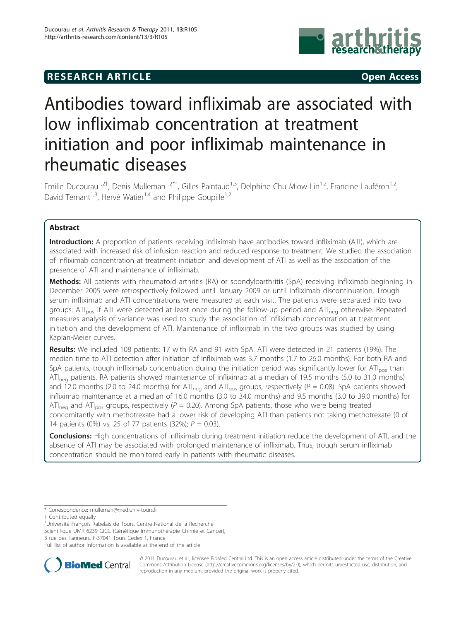## **RESEARCH ARTICLE CONSUMING A RESEARCH ARTICLE**



# Antibodies toward infliximab are associated with low infliximab concentration at treatment initiation and poor infliximab maintenance in rheumatic diseases

Emilie Ducourau<sup>1,2†</sup>, Denis Mulleman<sup>1,2\*†</sup>, Gilles Paintaud<sup>1,3</sup>, Delphine Chu Miow Lin<sup>1,2</sup>, Francine Lauféron<sup>1,2</sup>, David Ternant<sup>1,3</sup>, Hervé Watier<sup>1,4</sup> and Philippe Goupille<sup>1,2</sup>

## Abstract

Introduction: A proportion of patients receiving infliximab have antibodies toward infliximab (ATI), which are associated with increased risk of infusion reaction and reduced response to treatment. We studied the association of infliximab concentration at treatment initiation and development of ATI as well as the association of the presence of ATI and maintenance of infliximab.

Methods: All patients with rheumatoid arthritis (RA) or spondyloarthritis (SpA) receiving infliximab beginning in December 2005 were retrospectively followed until January 2009 or until infliximab discontinuation. Trough serum infliximab and ATI concentrations were measured at each visit. The patients were separated into two groups: ATI<sub>pos</sub> if ATI were detected at least once during the follow-up period and ATI<sub>neg</sub> otherwise. Repeated measures analysis of variance was used to study the association of infliximab concentration at treatment initiation and the development of ATI. Maintenance of infliximab in the two groups was studied by using Kaplan-Meier curves.

Results: We included 108 patients: 17 with RA and 91 with SpA. ATI were detected in 21 patients (19%). The median time to ATI detection after initiation of infliximab was 3.7 months (1.7 to 26.0 months). For both RA and SpA patients, trough infliximab concentration during the initiation period was significantly lower for  $AT_{\text{DOS}}$  than  $AT_{\text{neg}}$  patients. RA patients showed maintenance of infliximab at a median of 19.5 months (5.0 to 31.0 months) and 12.0 months (2.0 to 24.0 months) for ATI<sub>neg</sub> and ATI<sub>pos</sub> groups, respectively (P = 0.08). SpA patients showed infliximab maintenance at a median of 16.0 months (3.0 to 34.0 months) and 9.5 months (3.0 to 39.0 months) for ATI<sub>neg</sub> and ATI<sub>pos</sub> groups, respectively ( $P = 0.20$ ). Among SpA patients, those who were being treated concomitantly with methotrexate had a lower risk of developing ATI than patients not taking methotrexate (0 of 14 patients (0%) vs. 25 of 77 patients (32%);  $P = 0.03$ ).

Conclusions: High concentrations of infliximab during treatment initiation reduce the development of ATI, and the absence of ATI may be associated with prolonged maintenance of infliximab. Thus, trough serum infliximab concentration should be monitored early in patients with rheumatic diseases.

<sup>1</sup>Université François Rabelais de Tours, Centre National de la Recherche

Scientifique UMR 6239 GICC (Génétique Immunothérapie Chimie et Cancer), 3 rue des Tanneurs, F-37041 Tours Cedex 1, France

Full list of author information is available at the end of the article



© 2011 Ducourau et al.; licensee BioMed Central Ltd. This is an open access article distributed under the terms of the Creative Commons Attribution License [\(http://creativecommons.org/licenses/by/2.0](http://creativecommons.org/licenses/by/2.0)), which permits unrestricted use, distribution, and reproduction in any medium, provided the original work is properly cited.

<sup>\*</sup> Correspondence: [mulleman@med.univ-tours.fr](mailto:mulleman@med.univ-tours.fr)

<sup>†</sup> Contributed equally <sup>1</sup>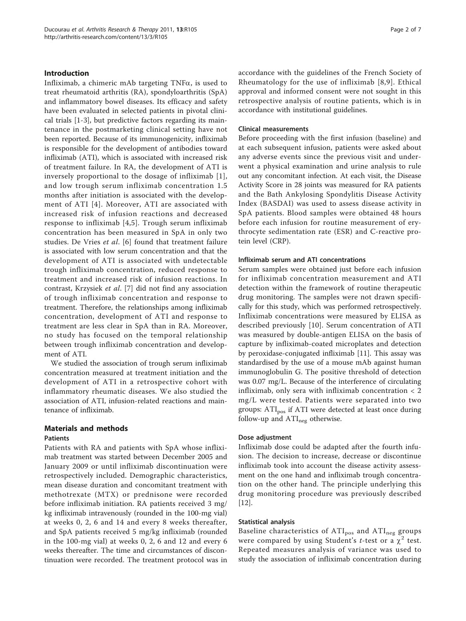## Introduction

Infliximab, a chimeric mAb targeting  $TNF\alpha$ , is used to treat rheumatoid arthritis (RA), spondyloarthritis (SpA) and inflammatory bowel diseases. Its efficacy and safety have been evaluated in selected patients in pivotal clinical trials [\[1](#page-6-0)-[3\]](#page-6-0), but predictive factors regarding its maintenance in the postmarketing clinical setting have not been reported. Because of its immunogenicity, infliximab is responsible for the development of antibodies toward infliximab (ATI), which is associated with increased risk of treatment failure. In RA, the development of ATI is inversely proportional to the dosage of infliximab [[1\]](#page-6-0), and low trough serum infliximab concentration 1.5 months after initiation is associated with the development of ATI [[4\]](#page-6-0). Moreover, ATI are associated with increased risk of infusion reactions and decreased response to infliximab [[4](#page-6-0),[5\]](#page-6-0). Trough serum infliximab concentration has been measured in SpA in only two studies. De Vries et al. [[6\]](#page-6-0) found that treatment failure is associated with low serum concentration and that the development of ATI is associated with undetectable trough infliximab concentration, reduced response to treatment and increased risk of infusion reactions. In contrast, Krzysiek et al. [\[7](#page-6-0)] did not find any association of trough infliximab concentration and response to treatment. Therefore, the relationships among infliximab concentration, development of ATI and response to treatment are less clear in SpA than in RA. Moreover, no study has focused on the temporal relationship between trough infliximab concentration and development of ATI.

We studied the association of trough serum infliximab concentration measured at treatment initiation and the development of ATI in a retrospective cohort with inflammatory rheumatic diseases. We also studied the association of ATI, infusion-related reactions and maintenance of infliximab.

## Materials and methods

#### Patients

Patients with RA and patients with SpA whose infliximab treatment was started between December 2005 and January 2009 or until infliximab discontinuation were retrospectively included. Demographic characteristics, mean disease duration and concomitant treatment with methotrexate (MTX) or prednisone were recorded before infliximab initiation. RA patients received 3 mg/ kg infliximab intravenously (rounded in the 100-mg vial) at weeks 0, 2, 6 and 14 and every 8 weeks thereafter, and SpA patients received 5 mg/kg infliximab (rounded in the 100-mg vial) at weeks 0, 2, 6 and 12 and every 6 weeks thereafter. The time and circumstances of discontinuation were recorded. The treatment protocol was in accordance with the guidelines of the French Society of Rheumatology for the use of infliximab [[8](#page-6-0),[9](#page-6-0)]. Ethical approval and informed consent were not sought in this retrospective analysis of routine patients, which is in accordance with institutional guidelines.

#### Clinical measurements

Before proceeding with the first infusion (baseline) and at each subsequent infusion, patients were asked about any adverse events since the previous visit and underwent a physical examination and urine analysis to rule out any concomitant infection. At each visit, the Disease Activity Score in 28 joints was measured for RA patients and the Bath Ankylosing Spondylitis Disease Activity Index (BASDAI) was used to assess disease activity in SpA patients. Blood samples were obtained 48 hours before each infusion for routine measurement of erythrocyte sedimentation rate (ESR) and C-reactive protein level (CRP).

## Infliximab serum and ATI concentrations

Serum samples were obtained just before each infusion for infliximab concentration measurement and ATI detection within the framework of routine therapeutic drug monitoring. The samples were not drawn specifically for this study, which was performed retrospectively. Infliximab concentrations were measured by ELISA as described previously [[10](#page-6-0)]. Serum concentration of ATI was measured by double-antigen ELISA on the basis of capture by infliximab-coated microplates and detection by peroxidase-conjugated infliximab [[11\]](#page-6-0). This assay was standardised by the use of a mouse mAb against human immunoglobulin G. The positive threshold of detection was 0.07 mg/L. Because of the interference of circulating infliximab, only sera with infliximab concentration < 2 mg/L were tested. Patients were separated into two groups: ATI<sub>pos</sub> if ATI were detected at least once during follow-up and  $ATI_{neg}$  otherwise.

#### Dose adjustment

Infliximab dose could be adapted after the fourth infusion. The decision to increase, decrease or discontinue infliximab took into account the disease activity assessment on the one hand and infliximab trough concentration on the other hand. The principle underlying this drug monitoring procedure was previously described [[12\]](#page-6-0).

#### Statistical analysis

Baseline characteristics of  $ATI_{pos}$  and  $ATI_{neg}$  groups were compared by using Student's *t*-test or a  $\chi^2$  test. Repeated measures analysis of variance was used to study the association of infliximab concentration during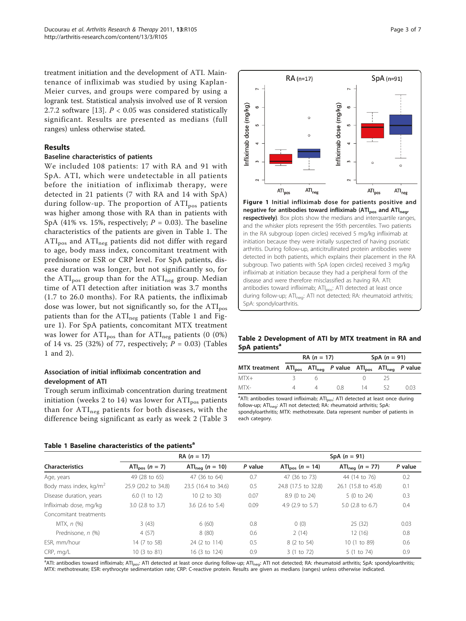treatment initiation and the development of ATI. Maintenance of infliximab was studied by using Kaplan-Meier curves, and groups were compared by using a logrank test. Statistical analysis involved use of R version 2.7.2 software [[13\]](#page-6-0).  $P < 0.05$  was considered statistically significant. Results are presented as medians (full ranges) unless otherwise stated.

### Results

#### Baseline characteristics of patients

We included 108 patients: 17 with RA and 91 with SpA. ATI, which were undetectable in all patients before the initiation of infliximab therapy, were detected in 21 patients (7 with RA and 14 with SpA) during follow-up. The proportion of  $ATI<sub>pos</sub>$  patients was higher among those with RA than in patients with SpA (41% vs. 15%, respectively;  $P = 0.03$ ). The baseline characteristics of the patients are given in Table 1. The ATI<sub>pos</sub> and ATI<sub>neg</sub> patients did not differ with regard to age, body mass index, concomitant treatment with prednisone or ESR or CRP level. For SpA patients, disease duration was longer, but not significantly so, for the  $ATI<sub>pos</sub>$  group than for the  $ATI<sub>neg</sub>$  group. Median time of ATI detection after initiation was 3.7 months (1.7 to 26.0 months). For RA patients, the infliximab dose was lower, but not significantly so, for the  $ATI<sub>pos</sub>$ patients than for the  $ATI_{neg}$  patients (Table 1 and Figure 1). For SpA patients, concomitant MTX treatment was lower for  $ATI_{pos}$  than for  $ATI_{neg}$  patients (0 (0%) of 14 vs. 25 (32%) of 77, respectively;  $P = 0.03$ ) (Tables 1 and 2).

## Association of initial infliximab concentration and development of ATI

Trough serum infliximab concentration during treatment initiation (weeks 2 to 14) was lower for  $ATI<sub>pos</sub>$  patients than for  $ATI_{neg}$  patients for both diseases, with the difference being significant as early as week 2 (Table [3](#page-3-0)

Table 1 Baseline characteristics of the patients<sup>a</sup>



negative for antibodies toward infliximab (ATI<sub>pos</sub> and ATI<sub>neg</sub>, respectively). Box plots show the medians and interquartile ranges, and the whisker plots represent the 95th percentiles. Two patients in the RA subgroup (open circles) received 5 mg/kg infliximab at initiation because they were initially suspected of having psoriatic arthritis. During follow-up, anticitrullinated protein antibodies were detected in both patients, which explains their placement in the RA subgroup. Two patients with SpA (open circles) received 3 mg/kg infliximab at initiation because they had a peripheral form of the disease and were therefore misclassified as having RA. ATI: antibodies toward infliximab; ATI<sub>pos</sub>: ATI detected at least once during follow-up; ATI<sub>neg</sub>: ATI not detected; RA: rheumatoid arthritis; SpA: spondyloarthritis.

Table 2 Development of ATI by MTX treatment in RA and SpA patients<sup>a</sup>

|                                                                                                           | $RA (n = 17)$ |  |       | SpA $(n = 91)$ |    |       |  |
|-----------------------------------------------------------------------------------------------------------|---------------|--|-------|----------------|----|-------|--|
| MTX treatment ATI <sub>pos</sub> ATI <sub>neg</sub> P value ATI <sub>pos</sub> ATI <sub>neg</sub> P value |               |  |       |                |    |       |  |
| MTX+                                                                                                      |               |  |       |                |    |       |  |
| MTX-                                                                                                      |               |  | - 0.8 | 14             | 52 | (103) |  |

<sup>a</sup>ATI: antibodies toward infliximab; ATI<sub>pos</sub>: ATI detected at least once during follow-up; ATI<sub>neg</sub>: ATI not detected; RA: rheumatoid arthritis; SpA: spondyloarthritis; MTX: methotrexate. Data represent number of patients in each category.

|                                    | $RA (n = 17)$                |                                     |         | SpA $(n = 91)$                      |                                     |         |  |
|------------------------------------|------------------------------|-------------------------------------|---------|-------------------------------------|-------------------------------------|---------|--|
| <b>Characteristics</b>             | ATI <sub>pos</sub> $(n = 7)$ | ATI <sub>neg</sub> ( <i>n</i> = 10) | P value | ATI <sub>pos</sub> ( <i>n</i> = 14) | ATI <sub>nea</sub> ( <i>n</i> = 77) | P value |  |
| Age, years                         | 49 (28 to 65)                | 47 (36 to 64)                       | 0.7     | 47 (36 to 73)                       | 44 (14 to 76)                       | 0.2     |  |
| Body mass index, kg/m <sup>2</sup> | 25.9 (20.2 to 34.8)          | 23.5 (16.4 to 34.6)                 | 0.5     | 24.8 (17.5 to 32.8)                 | 26.1 (15.8 to 45.8)                 | 0.1     |  |
| Disease duration, years            | $6.0$ (1 to 12)              | 10 (2 to 30)                        | 0.07    | 8.9 (0 to 24)                       | 5 (0 to 24)                         | 0.3     |  |
| Infliximab dose, mg/kg             | $3.0$ (2.8 to 3.7)           | $3.6$ (2.6 to 5.4)                  | 0.09    | 4.9 $(2.9 \text{ to } 5.7)$         | 5.0 (2.8 to 6.7)                    | 0.4     |  |
| Concomitant treatments             |                              |                                     |         |                                     |                                     |         |  |
| MTX, n (%)                         | 3(43)                        | 6(60)                               | 0.8     | 0(0)                                | 25(32)                              | 0.03    |  |
| Prednisone, n (%)                  | 4(57)                        | 8(80)                               | 0.6     | 2(14)                               | 12(16)                              | 0.8     |  |
| ESR, mm/hour                       | 14 (7 to 58)                 | 24 (2 to 114)                       | 0.5     | 8 (2 to 54)                         | 10 (1 to 89)                        | 0.6     |  |
| CRP, mq/L                          | 10 (3 to 81)                 | 16 (3 to 124)                       | 0.9     | 3 (1 to 72)                         | 5 (1 to 74)                         | 0.9     |  |

<sup>a</sup>ATI: antibodies toward infliximab; ATI<sub>pos</sub>: ATI detected at least once during follow-up; ATI<sub>neg</sub>: ATI not detected; RA: rheumatoid arthritis; SpA: spondyloarthritis; MTX: methotrexate; ESR: erythrocyte sedimentation rate; CRP: C-reactive protein. Results are given as medians (ranges) unless otherwise indicated.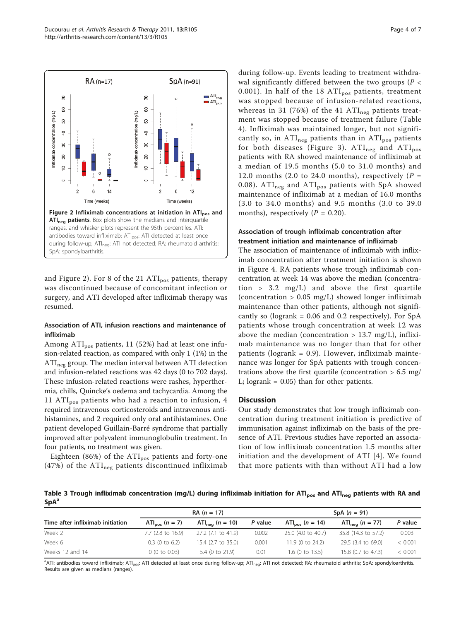<span id="page-3-0"></span>

and Figure 2). For 8 of the 21  $ATI<sub>pos</sub>$  patients, therapy was discontinued because of concomitant infection or surgery, and ATI developed after infliximab therapy was resumed.

## Association of ATI, infusion reactions and maintenance of infliximab

Among  $ATI<sub>pos</sub>$  patients, 11 (52%) had at least one infusion-related reaction, as compared with only 1 (1%) in the ATI<sub>neg</sub> group. The median interval between ATI detection and infusion-related reactions was 42 days (0 to 702 days). These infusion-related reactions were rashes, hyperthermia, chills, Quincke's oedema and tachycardia. Among the 11  $ATI<sub>pos</sub>$  patients who had a reaction to infusion, 4 required intravenous corticosteroids and intravenous antihistamines, and 2 required only oral antihistamines. One patient developed Guillain-Barré syndrome that partially improved after polyvalent immunoglobulin treatment. In four patients, no treatment was given.

Eighteen (86%) of the  $\text{ATI}_{\text{pos}}$  patients and forty-one (47%) of the  $ATI_{neg}$  patients discontinued infliximab during follow-up. Events leading to treatment withdrawal significantly differed between the two groups ( $P <$ 0.001). In half of the 18  $ATI<sub>pos</sub>$  patients, treatment was stopped because of infusion-related reactions, whereas in 31 (76%) of the 41  $ATI_{neg}$  patients treatment was stopped because of treatment failure (Table [4\)](#page-4-0). Infliximab was maintained longer, but not significantly so, in  $ATI_{neg}$  patients than in  $ATI_{pos}$  patients for both diseases (Figure [3](#page-4-0)).  $ATI_{neg}$  and  $ATI_{pos}$ patients with RA showed maintenance of infliximab at a median of 19.5 months (5.0 to 31.0 months) and 12.0 months (2.0 to 24.0 months), respectively ( $P =$ 0.08).  $ATI_{neg}$  and  $ATI_{pos}$  patients with SpA showed maintenance of infliximab at a median of 16.0 months (3.0 to 34.0 months) and 9.5 months (3.0 to 39.0 months), respectively  $(P = 0.20)$ .

## Association of trough infliximab concentration after treatment initiation and maintenance of infliximab

The association of maintenance of infliximab with infliximab concentration after treatment initiation is shown in Figure [4.](#page-5-0) RA patients whose trough infliximab concentration at week 14 was above the median (concentration  $> 3.2 \text{ mg/L}$  and above the first quartile (concentration  $> 0.05$  mg/L) showed longer infliximab maintenance than other patients, although not significantly so (logrank =  $0.06$  and  $0.2$  respectively). For SpA patients whose trough concentration at week 12 was above the median (concentration  $> 13.7$  mg/L), infliximab maintenance was no longer than that for other patients ( $logrank = 0.9$ ). However, infliximab maintenance was longer for SpA patients with trough concentrations above the first quartile (concentration  $> 6.5$  mg/ L; logrank = 0.05) than for other patients.

## **Discussion**

Our study demonstrates that low trough infliximab concentration during treatment initiation is predictive of immunisation against infliximab on the basis of the presence of ATI. Previous studies have reported an association of low infliximab concentration 1.5 months after initiation and the development of ATI [[4\]](#page-6-0). We found that more patients with than without ATI had a low

Table 3 Trough infliximab concentration (mg/L) during infliximab initiation for ATI<sub>pos</sub> and ATI<sub>neg</sub> patients with RA and SpA<sup>a</sup>

|                                  | $RA (n = 17)$                |                                     |         | SpA $(n = 91)$                      |                                     |         |  |
|----------------------------------|------------------------------|-------------------------------------|---------|-------------------------------------|-------------------------------------|---------|--|
| Time after infliximab initiation | ATI <sub>nos</sub> $(n = 7)$ | ATI <sub>neg</sub> ( <i>n</i> = 10) | P value | ATI <sub>pos</sub> ( <i>n</i> = 14) | ATI <sub>neg</sub> ( <i>n</i> = 77) | P value |  |
| Week 2                           | $7.7$ (2.8 to 16.9)          | 27.2 (7.1 to 41.9)                  | 0.002   | 25.0 (4.0 to 40.7)                  | 35.8 (14.3 to 57.2)                 | 0.003   |  |
| Week 6                           | $0.3$ (0 to 6.2)             | 15.4 (2.7 to 35.0)                  | 0.001   | 11.9 (0 to 24.2)                    | 29.5 (3.4 to 69.0)                  | < 0.001 |  |
| Weeks 12 and 14                  | 0(0 to 0.03)                 | 5.4 (0 to 21.9)                     | 0.01    | $1.6$ (0 to 13.5)                   | 15.8 (0.7 to 47.3)                  | < 0.001 |  |

<sup>a</sup>ATI: antibodies toward infliximab; ATI<sub>pos</sub>: ATI detected at least once during follow-up; ATI<sub>neg</sub>: ATI not detected; RA: rheumatoid arthritis; SpA: spondyloarthritis. Results are given as medians (ranges).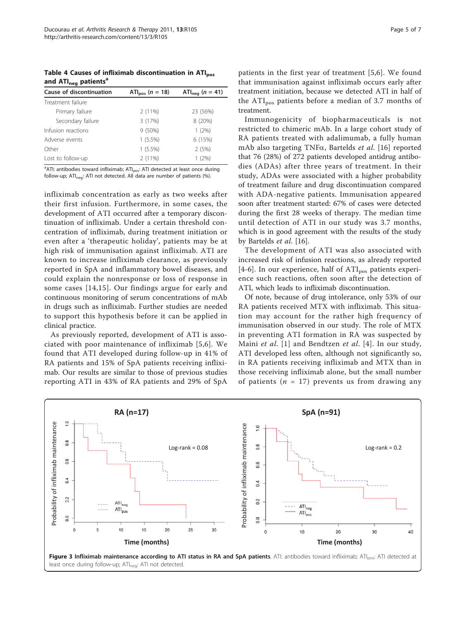<span id="page-4-0"></span>Table 4 Causes of infliximab discontinuation in ATI<sub>pos</sub> and  $ATI<sub>neq</sub>$  patients<sup>a</sup>

| Cause of discontinuation | ATI <sub>pos</sub> ( $n = 18$ ) | ATI <sub>neg</sub> ( <i>n</i> = 41) |  |
|--------------------------|---------------------------------|-------------------------------------|--|
| Treatment failure        |                                 |                                     |  |
| Primary failure          | 2(11%)                          | 23 (56%)                            |  |
| Secondary failure        | 3 (17%)                         | 8 (20%)                             |  |
| Infusion reactions       | $9(50\%)$                       | $1(2\%)$                            |  |
| Adverse events           | $1(5.5\%)$                      | 6 (15%)                             |  |
| Other                    | $1(5.5\%)$                      | 2(5%)                               |  |
| Lost to follow-up        | $2(11\%)$                       | (2%)                                |  |

<sup>a</sup>ATI: antibodies toward infliximab; ATI<sub>pos</sub>: ATI detected at least once during follow-up; ATI<sub>neg</sub>: ATI not detected. All data are number of patients  $(\%)$ .

infliximab concentration as early as two weeks after their first infusion. Furthermore, in some cases, the development of ATI occurred after a temporary discontinuation of infliximab. Under a certain threshold concentration of infliximab, during treatment initiation or even after a 'therapeutic holiday', patients may be at high risk of immunisation against infliximab. ATI are known to increase infliximab clearance, as previously reported in SpA and inflammatory bowel diseases, and could explain the nonresponse or loss of response in some cases [[14](#page-6-0),[15](#page-6-0)]. Our findings argue for early and continuous monitoring of serum concentrations of mAb in drugs such as infliximab. Further studies are needed to support this hypothesis before it can be applied in clinical practice.

As previously reported, development of ATI is associated with poor maintenance of infliximab [[5,6\]](#page-6-0). We found that ATI developed during follow-up in 41% of RA patients and 15% of SpA patients receiving infliximab. Our results are similar to those of previous studies reporting ATI in 43% of RA patients and 29% of SpA

patients in the first year of treatment [[5,6](#page-6-0)]. We found that immunisation against infliximab occurs early after treatment initiation, because we detected ATI in half of the  $ATI<sub>pos</sub>$  patients before a median of 3.7 months of treatment.

Immunogenicity of biopharmaceuticals is not restricted to chimeric mAb. In a large cohort study of RA patients treated with adalimumab, a fully human mAb also targeting TNF $\alpha$ , Bartelds *et al.* [\[16](#page-6-0)] reported that 76 (28%) of 272 patients developed antidrug antibodies (ADAs) after three years of treatment. In their study, ADAs were associated with a higher probability of treatment failure and drug discontinuation compared with ADA-negative patients. Immunisation appeared soon after treatment started: 67% of cases were detected during the first 28 weeks of therapy. The median time until detection of ATI in our study was 3.7 months, which is in good agreement with the results of the study by Bartelds et al. [\[16](#page-6-0)].

The development of ATI was also associated with increased risk of infusion reactions, as already reported [[4](#page-6-0)-[6\]](#page-6-0). In our experience, half of  $ATI<sub>pos</sub>$  patients experience such reactions, often soon after the detection of ATI, which leads to infliximab discontinuation.

Of note, because of drug intolerance, only 53% of our RA patients received MTX with infliximab. This situation may account for the rather high frequency of immunisation observed in our study. The role of MTX in preventing ATI formation in RA was suspected by Maini et al. [[1](#page-6-0)] and Bendtzen et al. [\[4\]](#page-6-0). In our study, ATI developed less often, although not significantly so, in RA patients receiving infliximab and MTX than in those receiving infliximab alone, but the small number of patients ( $n = 17$ ) prevents us from drawing any



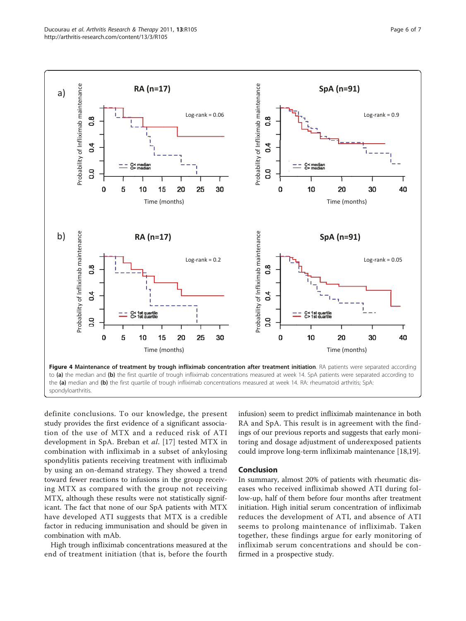<span id="page-5-0"></span>

definite conclusions. To our knowledge, the present study provides the first evidence of a significant association of the use of MTX and a reduced risk of ATI development in SpA. Breban et al. [[17](#page-6-0)] tested MTX in combination with infliximab in a subset of ankylosing spondylitis patients receiving treatment with infliximab by using an on-demand strategy. They showed a trend toward fewer reactions to infusions in the group receiving MTX as compared with the group not receiving MTX, although these results were not statistically significant. The fact that none of our SpA patients with MTX have developed ATI suggests that MTX is a credible factor in reducing immunisation and should be given in combination with mAb.

High trough infliximab concentrations measured at the end of treatment initiation (that is, before the fourth infusion) seem to predict infliximab maintenance in both RA and SpA. This result is in agreement with the findings of our previous reports and suggests that early monitoring and dosage adjustment of underexposed patients could improve long-term infliximab maintenance [[18](#page-6-0),[19](#page-6-0)].

#### Conclusion

In summary, almost 20% of patients with rheumatic diseases who received infliximab showed ATI during follow-up, half of them before four months after treatment initiation. High initial serum concentration of infliximab reduces the development of ATI, and absence of ATI seems to prolong maintenance of infliximab. Taken together, these findings argue for early monitoring of infliximab serum concentrations and should be confirmed in a prospective study.